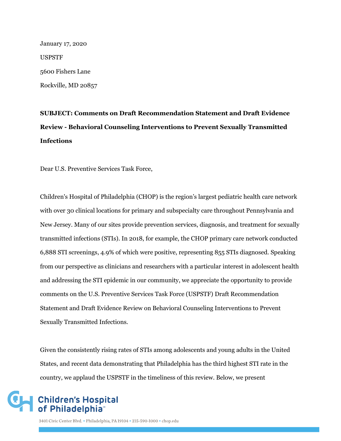January 17, 2020 USPSTF 5600 Fishers Lane Rockville, MD 20857

# **SUBJECT: Comments on Draft Recommendation Statement and Draft Evidence Review - Behavioral Counseling Interventions to Prevent Sexually Transmitted Infections**

Dear U.S. Preventive Services Task Force,

Children's Hospital of Philadelphia (CHOP) is the region's largest pediatric health care network with over 30 clinical locations for primary and subspecialty care throughout Pennsylvania and New Jersey. Many of our sites provide prevention services, diagnosis, and treatment for sexually transmitted infections (STIs). In 2018, for example, the CHOP primary care network conducted 6,888 STI screenings, 4.9% of which were positive, representing 855 STIs diagnosed. Speaking from our perspective as clinicians and researchers with a particular interest in adolescent health and addressing the STI epidemic in our community, we appreciate the opportunity to provide comments on the U.S. Preventive Services Task Force (USPSTF) Draft Recommendation Statement and Draft Evidence Review on Behavioral Counseling Interventions to Prevent Sexually Transmitted Infections.

Given the consistently rising rates of STIs among adolescents and young adults in the United States, and recent data demonstrating that Philadelphia has the third highest STI rate in the country, we applaud the USPSTF in the timeliness of this review. Below, we present

## **Children's Hospital** of Philadelphia<sup>®</sup>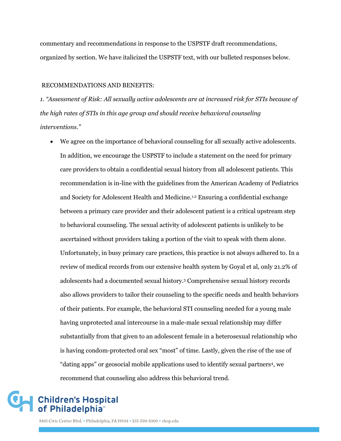commentary and recommendations in response to the USPSTF draft recommendations, organized by section. We have italicized the USPSTF text, with our bulleted responses below.

#### RECOMMENDATIONS AND BENEFITS:

*1. "Assessment of Risk: All sexually active adolescents are at increased risk for STIs because of the high rates of STIs in this age group and should receive behavioral counseling interventions."*

 We agree on the importance of behavioral counseling for all sexually active adolescents. In addition, we encourage the USPSTF to include a statement on the need for primary care providers to obtain a confidential sexual history from all adolescent patients. This recommendation is in-line with the guidelines from the American Academy of Pediatrics and Society for Adolescent Health and Medicine.1,2 Ensuring a confidential exchange between a primary care provider and their adolescent patient is a critical upstream step to behavioral counseling. The sexual activity of adolescent patients is unlikely to be ascertained without providers taking a portion of the visit to speak with them alone. Unfortunately, in busy primary care practices, this practice is not always adhered to. In a review of medical records from our extensive health system by Goyal et al, only 21.2% of adolescents had a documented sexual history.<sup>3</sup> Comprehensive sexual history records also allows providers to tailor their counseling to the specific needs and health behaviors of their patients. For example, the behavioral STI counseling needed for a young male having unprotected anal intercourse in a male-male sexual relationship may differ substantially from that given to an adolescent female in a heterosexual relationship who is having condom-protected oral sex "most" of time. Lastly, given the rise of the use of "dating apps" or geosocial mobile applications used to identify sexual partners<sup>4</sup> , we recommend that counseling also address this behavioral trend.

## **Children's Hospital** of Philadelphia<sup>®</sup>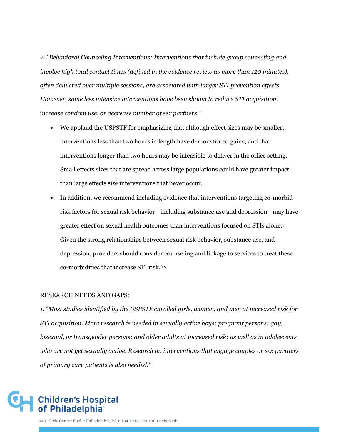*2. "Behavioral Counseling Interventions: Interventions that include group counseling and involve high total contact times (defined in the evidence review as more than 120 minutes), often delivered over multiple sessions, are associated with larger STI prevention effects. However, some less intensive interventions have been shown to reduce STI acquisition, increase condom use, or decrease number of sex partners."*

- We applaud the USPSTF for emphasizing that although effect sizes may be smaller, interventions less than two hours in length have demonstrated gains, and that interventions longer than two hours may be infeasible to deliver in the office setting. Small effects sizes that are spread across large populations could have greater impact than large effects size interventions that never occur.
- In addition, we recommend including evidence that interventions targeting co-morbid risk factors for sexual risk behavior—including substance use and depression—may have greater effect on sexual health outcomes than interventions focused on STIs alone.<sup>5</sup> Given the strong relationships between sexual risk behavior, substance use, and depression, providers should consider counseling and linkage to services to treat these co-morbidities that increase STI risk.6-9

#### RESEARCH NEEDS AND GAPS:

*1. "Most studies identified by the USPSTF enrolled girls, women, and men at increased risk for STI acquisition. More research is needed in sexually active boys; pregnant persons; gay, bisexual, or transgender persons; and older adults at increased risk; as well as in adolescents who are not yet sexually active. Research on interventions that engage couples or sex partners of primary care patients is also needed."* 

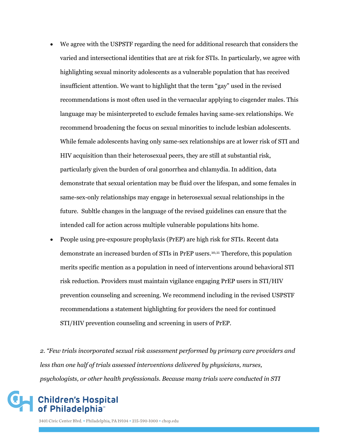- We agree with the USPSTF regarding the need for additional research that considers the varied and intersectional identities that are at risk for STIs. In particularly, we agree with highlighting sexual minority adolescents as a vulnerable population that has received insufficient attention. We want to highlight that the term "gay" used in the revised recommendations is most often used in the vernacular applying to cisgender males. This language may be misinterpreted to exclude females having same-sex relationships. We recommend broadening the focus on sexual minorities to include lesbian adolescents. While female adolescents having only same-sex relationships are at lower risk of STI and HIV acquisition than their heterosexual peers, they are still at substantial risk, particularly given the burden of oral gonorrhea and chlamydia. In addition, data demonstrate that sexual orientation may be fluid over the lifespan, and some females in same-sex-only relationships may engage in heterosexual sexual relationships in the future. Subltle changes in the language of the revised guidelines can ensure that the intended call for action across multiple vulnerable populations hits home.
- People using pre-exposure prophylaxis (PrEP) are high risk for STIs. Recent data demonstrate an increased burden of STIs in PrEP users.10,11 Therefore, this population merits specific mention as a population in need of interventions around behavioral STI risk reduction. Providers must maintain vigilance engaging PrEP users in STI/HIV prevention counseling and screening. We recommend including in the revised USPSTF recommendations a statement highlighting for providers the need for continued STI/HIV prevention counseling and screening in users of PrEP.

*2. "Few trials incorporated sexual risk assessment performed by primary care providers and less than one half of trials assessed interventions delivered by physicians, nurses, psychologists, or other health professionals. Because many trials were conducted in STI* 

#### **Children's Hospital** of Philadelphia®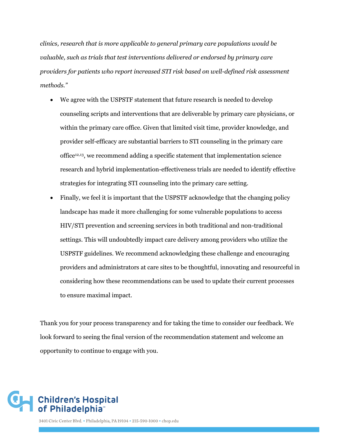*clinics, research that is more applicable to general primary care populations would be valuable, such as trials that test interventions delivered or endorsed by primary care providers for patients who report increased STI risk based on well-defined risk assessment methods."*

- We agree with the USPSTF statement that future research is needed to develop counseling scripts and interventions that are deliverable by primary care physicians, or within the primary care office. Given that limited visit time, provider knowledge, and provider self-efficacy are substantial barriers to STI counseling in the primary care office12,13, we recommend adding a specific statement that implementation science research and hybrid implementation-effectiveness trials are needed to identify effective strategies for integrating STI counseling into the primary care setting.
- Finally, we feel it is important that the USPSTF acknowledge that the changing policy landscape has made it more challenging for some vulnerable populations to access HIV/STI prevention and screening services in both traditional and non-traditional settings. This will undoubtedly impact care delivery among providers who utilize the USPSTF guidelines. We recommend acknowledging these challenge and encouraging providers and administrators at care sites to be thoughtful, innovating and resourceful in considering how these recommendations can be used to update their current processes to ensure maximal impact.

Thank you for your process transparency and for taking the time to consider our feedback. We look forward to seeing the final version of the recommendation statement and welcome an opportunity to continue to engage with you.

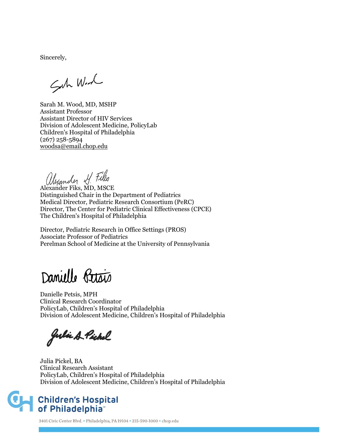Sincerely,

Suh With

Sarah M. Wood, MD, MSHP Assistant Professor Assistant Director of HIV Services Division of Adolescent Medicine, PolicyLab Children's Hospital of Philadelphia (267) 258-5894 [woodsa@email.chop.edu](mailto:woodsa@email.chop.edu)

Alexander Fiks, MD, MSCE

Distinguished Chair in the Department of Pediatrics Medical Director, Pediatric Research Consortium (PeRC) Director, The Center for Pediatric Clinical Effectiveness (CPCE) The Children's Hospital of Philadelphia

Director, Pediatric Research in Office Settings (PROS) Associate Professor of Pediatrics Perelman School of Medicine at the University of Pennsylvania

Danielle Petais

Danielle Petsis, MPH Clinical Research Coordinator PolicyLab, Children's Hospital of Philadelphia Division of Adolescent Medicine, Children's Hospital of Philadelphia

Julie A Pickel

Julia Pickel, BA Clinical Research Assistant PolicyLab, Children's Hospital of Philadelphia Division of Adolescent Medicine, Children's Hospital of Philadelphia

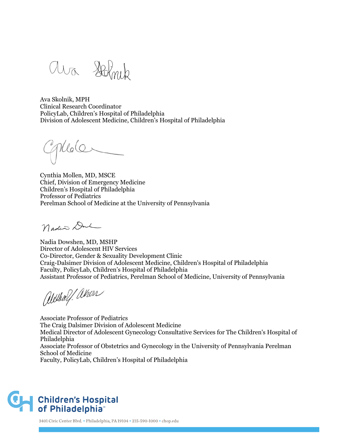ara Holmb

Ava Skolnik, MPH Clinical Research Coordinator PolicyLab, Children's Hospital of Philadelphia Division of Adolescent Medicine, Children's Hospital of Philadelphia

Phlole

Cynthia Mollen, MD, MSCE Chief, Division of Emergency Medicine Children's Hospital of Philadelphia Professor of Pediatrics Perelman School of Medicine at the University of Pennsylvania

Nadis Du

Nadia Dowshen, MD, MSHP Director of Adolescent HIV Services Co-Director, Gender & Sexuality Development Clinic Craig-Dalsimer Division of Adolescent Medicine, Children's Hospital of Philadelphia Faculty, PolicyLab, Children's Hospital of Philadelphia Assistant Professor of Pediatrics, Perelman School of Medicine, University of Pennsylvania

alethalf absen

Associate Professor of Pediatrics The Craig Dalsimer Division of Adolescent Medicine Medical Director of Adolescent Gynecology Consultative Services for The Children's Hospital of Philadelphia Associate Professor of Obstetrics and Gynecology in the University of Pennsylvania Perelman School of Medicine Faculty, PolicyLab, Children's Hospital of Philadelphia